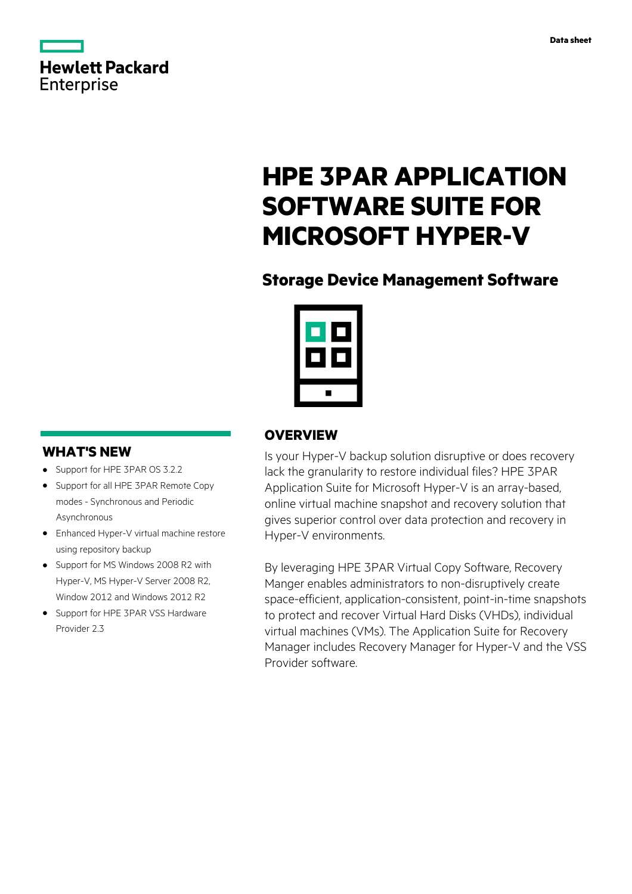

# **HPE 3PAR APPLICATION SOFTWARE SUITE FOR MICROSOFT HYPER-V**

# **Storage Device Management Software**

# **OVERVIEW**

Is your Hyper-V backup solution disruptive or does recovery lack the granularity to restore individual files? HPE 3PAR Application Suite for Microsoft Hyper-V is an array-based, online virtual machine snapshot and recovery solution that gives superior control over data protection and recovery in Hyper-V environments.

By leveraging HPE 3PAR Virtual Copy Software, Recovery Manger enables administrators to non-disruptively create space-efficient, application-consistent, point-in-time snapshots to protect and recover Virtual Hard Disks (VHDs), individual virtual machines (VMs). The Application Suite for Recovery Manager includes Recovery Manager for Hyper-V and the VSS Provider software.

# **WHAT'S NEW**

- **·** Support for HPE 3PAR OS 3.2.2
- **·** Support for all HPE 3PAR Remote Copy modes - Synchronous and Periodic Asynchronous
- **·** Enhanced Hyper-V virtual machine restore using repository backup
- **·** Support for MS Windows 2008 R2 with Hyper-V, MS Hyper-V Server 2008 R2, Window 2012 and Windows 2012 R2
- **·** Support for HPE 3PAR VSS Hardware Provider 2.3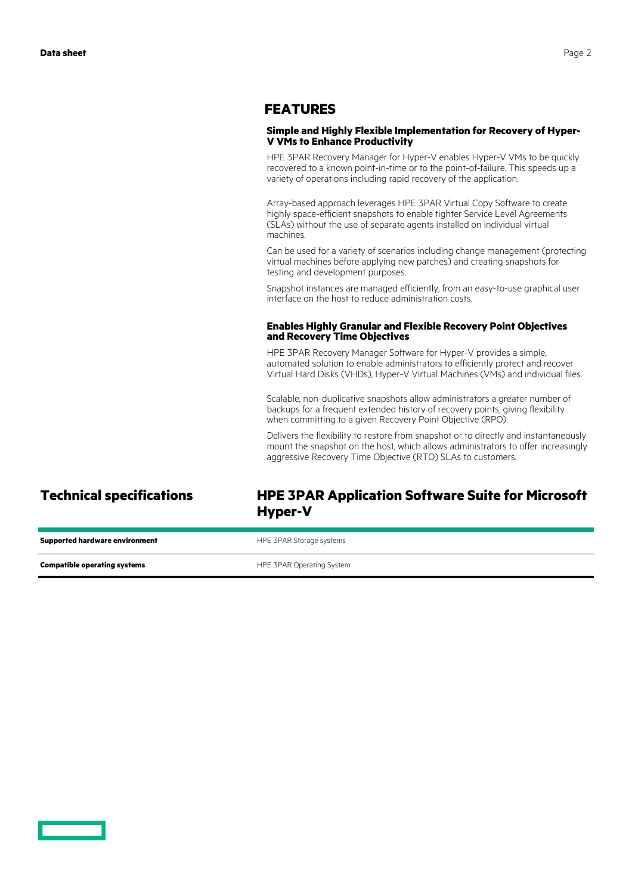### **FEATURES**

### **Simple and Highly Flexible Implementation for Recovery of Hyper-V VMs to Enhance Productivity**

HPE 3PAR Recovery Manager for Hyper-V enables Hyper-V VMs to be quickly recovered to a known point-in-time or to the point-of-failure. This speeds up a variety of operations including rapid recovery of the application.

Array-based approach leverages HPE 3PAR Virtual Copy Software to create highly space-efficient snapshots to enable tighter Service Level Agreements (SLAs) without the use of separate agents installed on individual virtual machines.

Can be used for a variety of scenarios including change management (protecting virtual machines before applying new patches) and creating snapshots for testing and development purposes.

Snapshot instances are managed efficiently, from an easy-to-use graphical user interface on the host to reduce administration costs.

### **Enables Highly Granular and Flexible Recovery Point Objectives and Recovery Time Objectives**

HPE 3PAR Recovery Manager Software for Hyper-V provides a simple, automated solution to enable administrators to efficiently protect and recover Virtual Hard Disks (VHDs), Hyper-V Virtual Machines (VMs) and individual files.

Scalable, non-duplicative snapshots allow administrators a greater number of backups for a frequent extended history of recovery points, giving flexibility when committing to a given Recovery Point Objective (RPO).

Delivers the flexibility to restore from snapshot or to directly and instantaneously mount the snapshot on the host, which allows administrators to offer increasingly aggressive Recovery Time Objective (RTO) SLAs to customers.

### **Technical specifications HPE 3PAR Application Software Suite for Microsoft Hyper-V**

| <b>Supported hardware environment</b> | HPE 3PAR Storage systems  |
|---------------------------------------|---------------------------|
| <b>Compatible operating systems</b>   | HPE 3PAR Operating System |